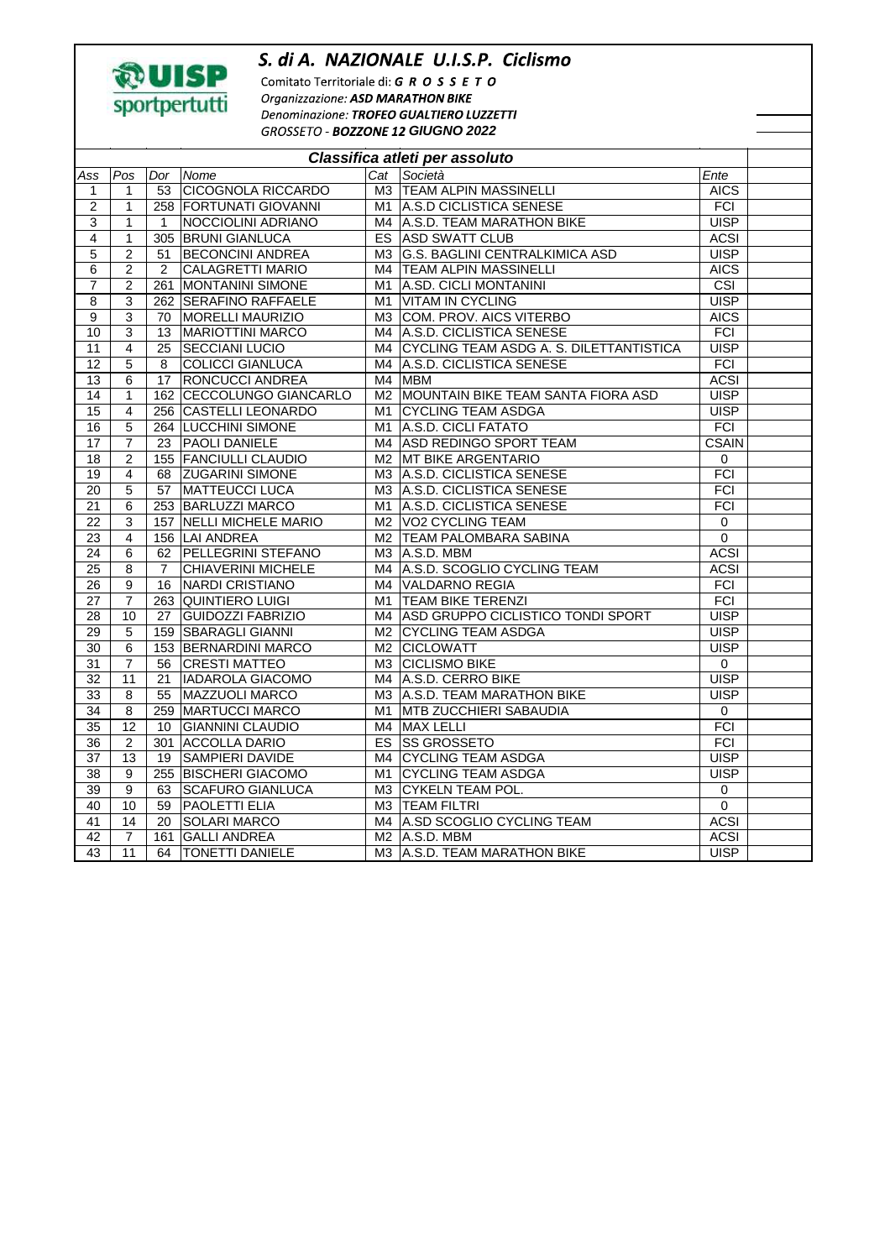## S. di A. NAZIONALE U.I.S.P. Ciclismo



Comitato Territoriale di: G R O S S E T O Organizzazione: ASD MARATHON BIKE Denominazione: TROFEO GUALTIERO LUZZETTI **GROSSETO - BOZZONE 12 GIUGNO 2022** 

| Classifica atleti per assoluto |                         |              |                           |    |                                            |                         |  |  |  |
|--------------------------------|-------------------------|--------------|---------------------------|----|--------------------------------------------|-------------------------|--|--|--|
| Ass                            | Pos                     | Dor          | Nome                      |    | Cat Società                                | Ente                    |  |  |  |
| 1                              | $\mathbf{1}$            | 53           | <b>CICOGNOLA RICCARDO</b> |    | M3 TEAM ALPIN MASSINELLI                   | <b>AICS</b>             |  |  |  |
| $\overline{2}$                 | $\mathbf{1}$            |              | 258 FORTUNATI GIOVANNI    |    | M1 A.S.D CICLISTICA SENESE                 | FCI                     |  |  |  |
| 3                              | 1                       | $\mathbf{1}$ | NOCCIOLINI ADRIANO        |    | M4   A.S.D. TEAM MARATHON BIKE             | <b>UISP</b>             |  |  |  |
| 4                              | $\mathbf{1}$            | 305          | <b>BRUNI GIANLUCA</b>     |    | ES ASD SWATT CLUB                          | <b>ACSI</b>             |  |  |  |
| 5                              | $\overline{2}$          | 51           | <b>BECONCINI ANDREA</b>   |    | M3 G.S. BAGLINI CENTRALKIMICA ASD          | <b>UISP</b>             |  |  |  |
| 6                              | $\overline{2}$          | 2            | CALAGRETTI MARIO          |    | M4   TEAM ALPIN MASSINELLI                 | <b>AICS</b>             |  |  |  |
| $\overline{7}$                 | $\overline{c}$          |              | 261 MONTANINI SIMONE      |    | M1 A.SD. CICLI MONTANINI                   | $\overline{\text{CSI}}$ |  |  |  |
| 8                              | 3                       |              | 262 SERAFINO RAFFAELE     | M1 | <b>VITAM IN CYCLING</b>                    | <b>UISP</b>             |  |  |  |
| $\overline{9}$                 | $\overline{3}$          | 70           | <b>MORELLI MAURIZIO</b>   |    | M3 COM. PROV. AICS VITERBO                 | <b>AICS</b>             |  |  |  |
| 10                             | 3                       | 13           | <b>MARIOTTINI MARCO</b>   |    | M4   A.S.D. CICLISTICA SENESE              | <b>FCI</b>              |  |  |  |
| 11                             | 4                       | 25           | <b>SECCIANI LUCIO</b>     |    | M4 CYCLING TEAM ASDG A. S. DILETTANTISTICA | <b>UISP</b>             |  |  |  |
| $\overline{12}$                | 5                       | 8            | <b>COLICCI GIANLUCA</b>   |    | M4 A.S.D. CICLISTICA SENESE                | <b>FCI</b>              |  |  |  |
| 13                             | 6                       | 17           | <b>RONCUCCI ANDREA</b>    |    | M4 MBM                                     | <b>ACSI</b>             |  |  |  |
| 14                             | 1                       |              | 162 CECCOLUNGO GIANCARLO  |    | M2 MOUNTAIN BIKE TEAM SANTA FIORA ASD      | <b>UISP</b>             |  |  |  |
| 15                             | $\overline{\mathbf{4}}$ |              | 256 CASTELLI LEONARDO     |    | M1 CYCLING TEAM ASDGA                      | <b>UISP</b>             |  |  |  |
| 16                             | 5                       |              | 264 LUCCHINI SIMONE       |    | M1 A.S.D. CICLI FATATO                     | FCI                     |  |  |  |
| 17                             | $\overline{7}$          |              | 23 PAOLI DANIELE          |    | M4 ASD REDINGO SPORT TEAM                  | <b>CSAIN</b>            |  |  |  |
| 18                             | $\overline{2}$          |              | 155 FANCIULLI CLAUDIO     |    | M2 MT BIKE ARGENTARIO                      | $\mathbf 0$             |  |  |  |
| 19                             | 4                       | 68           | <b>ZUGARINI SIMONE</b>    |    | M3 A.S.D. CICLISTICA SENESE                | FCI                     |  |  |  |
| $\overline{20}$                | 5                       | 57           | <b>MATTEUCCI LUCA</b>     |    | M3   A.S.D. CICLISTICA SENESE              | <b>FCI</b>              |  |  |  |
| 21                             | 6                       |              | 253 BARLUZZI MARCO        |    | M1   A.S.D. CICLISTICA SENESE              | <b>FCI</b>              |  |  |  |
| $\overline{22}$                | 3                       |              | 157 NELLI MICHELE MARIO   |    | M2   VO2 CYCLING TEAM                      | $\pmb{0}$               |  |  |  |
| $\overline{23}$                | 4                       |              | 156 LAI ANDREA            |    | M2 TEAM PALOMBARA SABINA                   | $\overline{0}$          |  |  |  |
| $\overline{24}$                | 6                       |              | 62 PELLEGRINI STEFANO     |    | $M3$ $\vert A.S.D.$ MBM                    | <b>ACSI</b>             |  |  |  |
| 25                             | 8                       | $\mathbf{7}$ | <b>CHIAVERINI MICHELE</b> |    | M4 A.S.D. SCOGLIO CYCLING TEAM             | <b>ACSI</b>             |  |  |  |
| 26                             | 9                       | 16           | NARDI CRISTIANO           |    | M4 VALDARNO REGIA                          | FCI                     |  |  |  |
| $\overline{27}$                | $\overline{7}$          |              | 263 QUINTIERO LUIGI       |    | M1 TEAM BIKE TERENZI                       | <b>FCI</b>              |  |  |  |
| $\overline{28}$                | 10                      | 27           | <b>GUIDOZZI FABRIZIO</b>  |    | M4 ASD GRUPPO CICLISTICO TONDI SPORT       | <b>UISP</b>             |  |  |  |
| $\overline{29}$                | 5                       |              | 159 SBARAGLI GIANNI       |    | M2 CYCLING TEAM ASDGA                      | <b>UISP</b>             |  |  |  |
| $\overline{30}$                | 6                       |              | 153 BERNARDINI MARCO      |    | M2 CICLOWATT                               | <b>UISP</b>             |  |  |  |
| 31                             | $\overline{7}$          | 56           | <b>CRESTI MATTEO</b>      |    | M3 CICLISMO BIKE                           | 0                       |  |  |  |
| $\overline{32}$                | 11                      | 21           | <b>IADAROLA GIACOMO</b>   |    | M4 A.S.D. CERRO BIKE                       | <b>UISP</b>             |  |  |  |
| $\overline{33}$                | 8                       | 55           | <b>MAZZUOLI MARCO</b>     |    | M3   A.S.D. TEAM MARATHON BIKE             | <b>UISP</b>             |  |  |  |
| $\overline{34}$                | $\overline{8}$          |              | 259 MARTUCCI MARCO        |    | M1 MTB ZUCCHIERI SABAUDIA                  | $\mathbf 0$             |  |  |  |
| $\overline{35}$                | $\overline{12}$         | 10           | <b>GIANNINI CLAUDIO</b>   |    | M4 MAX LELLI                               | FCI                     |  |  |  |
| $\overline{36}$                | $\sqrt{2}$              |              | 301 ACCOLLA DARIO         |    | <b>ES SS GROSSETO</b>                      | FCI                     |  |  |  |
| $\overline{37}$                | $\overline{13}$         | 19           | <b>SAMPIERI DAVIDE</b>    |    | M4 CYCLING TEAM ASDGA                      | <b>UISP</b>             |  |  |  |
| $\overline{38}$                | 9                       |              | 255 BISCHERI GIACOMO      |    | M1 CYCLING TEAM ASDGA                      | <b>UISP</b>             |  |  |  |
| 39                             | $\overline{9}$          | 63           | <b>SCAFURO GIANLUCA</b>   |    | M3 CYKELN TEAM POL.                        | $\pmb{0}$               |  |  |  |
| $\overline{40}$                | 10                      | 59           | <b>PAOLETTI ELIA</b>      |    | M3 TEAM FILTRI                             | $\overline{0}$          |  |  |  |
| $\overline{41}$                | 14                      | 20           | <b>SOLARI MARCO</b>       |    | M4 A.SD SCOGLIO CYCLING TEAM               | <b>ACSI</b>             |  |  |  |
| 42                             | 7                       | 161          | <b>GALLI ANDREA</b>       |    | $M2$ $ A.S.D. MBM$                         | <b>ACSI</b>             |  |  |  |
| 43                             | 11                      | 64           | <b>TONETTI DANIELE</b>    |    | M3 A.S.D. TEAM MARATHON BIKE               | <b>UISP</b>             |  |  |  |